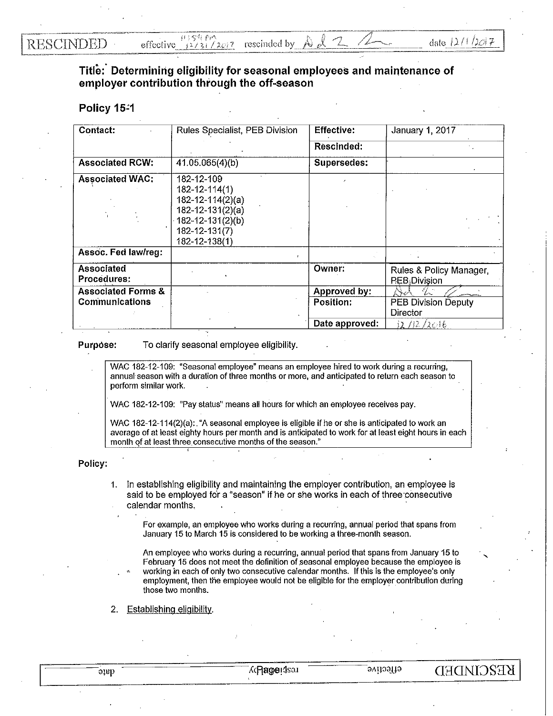**RESCINDED** 

## **Title:· Determining eligibility for seasonal employees and maintenance of employer contribution through the off-season**

## Policy 15-1

| Contact:                      | Rules Specialist, PEB Division                                                                                                        | <b>Effective:</b> | January 1, 2017                                       |
|-------------------------------|---------------------------------------------------------------------------------------------------------------------------------------|-------------------|-------------------------------------------------------|
|                               |                                                                                                                                       | Rescinded:        |                                                       |
| <b>Associated RCW:</b>        | 41.05.065(4)(b)                                                                                                                       | Supersedes:       |                                                       |
| <b>Associated WAC:</b>        | 182-12-109<br>$182 - 12 - 114(1)$<br>$182 - 12 - 114(2)(a)$<br>182-12-131(2)(a)<br>182-12-131(2)(b)<br>182-12-131(7)<br>182-12-138(1) |                   |                                                       |
| Assoc. Fed law/reg:           |                                                                                                                                       |                   |                                                       |
| Associated<br>Procedures:     |                                                                                                                                       | Owner:            | Rules & Policy Manager,<br>$P_E B_{\lambda}$ Division |
| <b>Associated Forms &amp;</b> |                                                                                                                                       | Approved by:      | V.                                                    |
| Communications                |                                                                                                                                       | Position:         | <b>PEB Division Deputy</b>                            |
|                               |                                                                                                                                       |                   | Director                                              |
|                               |                                                                                                                                       | Date approved:    | 12/12/2016                                            |

**Purpose:** To clarify seasonal employee eligibility.

WAC 182-12-109: "Seasonal employee" means an employee hired to work during a recurring, annual season with a duration of three months or more, and anticipated to return each season to perform similar work.

WAC 182-12-109: "Pay status" means all hours for which an employee receives pay.

WAC 182-12-114(2)(a): "A seasonal employee is eligible if he or she is anticipated to work an average of at least eighty hours per month and is anticipated to work for at least eight hours in each month of at least three consecutive months of the season."

## **Policy:**

1. In establishing eligibility and maintaining the employer contribution, an employee is said to be employed for a "season" if he or she works in each of three consecutive calendar months.

For example, an employee who works during a recurring, annual period that spans from January 15 to March 15 is considered to be working a three-month season.

An employee who works during a recurring, annual period that spans from January 15 to February 15 does not meet the definition of.seasonal employee because the employee is working in each of only two consecutive calendar months. If this is the employee's only employment, then the employee would not be eligible for the employer contribution during those two months.

2. Establishing eligibility.

**KESCIMDED**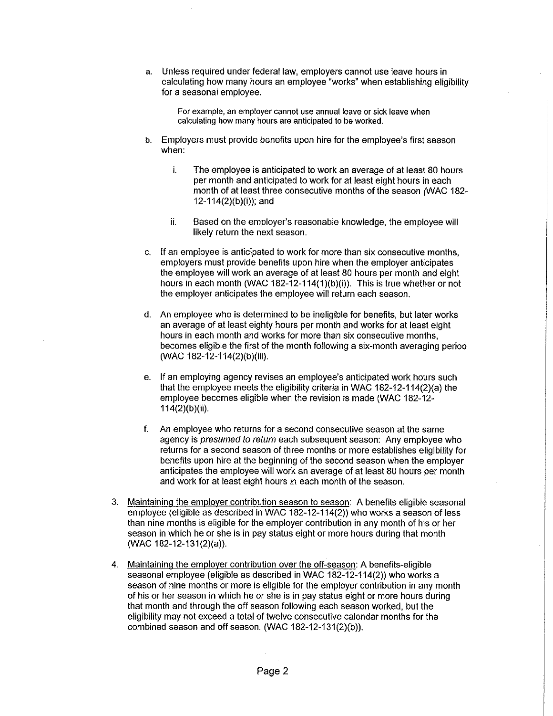a. Unless required under federal law, employers cannot use leave hours in calculating how many hours an employee "works" when establishing eligibility for a seasonal employee.

For example, an employer cannot use annual leave or sick leave when calculating how many hours are anticipated to be worked.

- b. Employers must provide benefits upon hire for the employee's first season when:
	- i. The employee is anticipated to work an average of at least 80 hours per month and anticipated to work for at least eight hours in each month of at least three consecutive months of the season (WAC 182-12-114(2)(b)(i)); and
	- ii. Based on the employer's reasonable knowledge, the employee will likely return the next season.
- c. If an employee is anticipated to work for more than six consecutive months, employers must provide benefits upon hire when the employer anticipates the employee will work an average of at least 80 hours per month and eight hours in each month (WAC 182-12-114(1)(b)(i)). This is true whether or not the employer anticipates the employee will return each season.
- d. An employee who is determined to be ineligible for benefits, but later works an average of at least eighty hours per month and works for at least eight hours in each month and works for more than six consecutive months, becomes eligible the first of the month following a six-month averaging period (WAC 182-12-114(2)(b)(iii).
- e. If an employing agency revises an employee's anticipated work hours such that the employee meets the eligibility criteria in WAC 182-12-114(2)(a) the employee becomes eligible when the revision is made (WAC 182-12- 114(2)(b)(ii).
- f. An employee who returns for a second consecutive season at the same agency is *presumed to return* each subsequent season: Any employee who returns for a second season of three months or more establishes eligibility for benefits upon hire at the beginning of the second season when the employer anticipates the employee will work an average of at least 80 hours per month and work for at least eight hours in each month of the season.
- 3. Maintaining the employer contribution season to season: A benefits eligible seasonal employee (eligible as described in WAC 182-12-114(2)) who works a season of less than nine months is eligible for the employer contribution in any month of his or her season in which he or she is in pay status eight or more hours during that month (WAC 182-12-131(2)(a)).
- 4. Maintaining the employer contribution over the off-season: A benefits-eligible seasonal employee (eligible as described in WAC 182-12-114(2)) who works a season of nine months or more is eligible for the employer contribution in any month of his or her season in which he or she is in pay status eight or more hours during that month and through the off season following each season worked, but the eligibility may not exceed a total of twelve consecutive calendar months for the combined season and off season. (WAC 182-12-131(2)(b)).